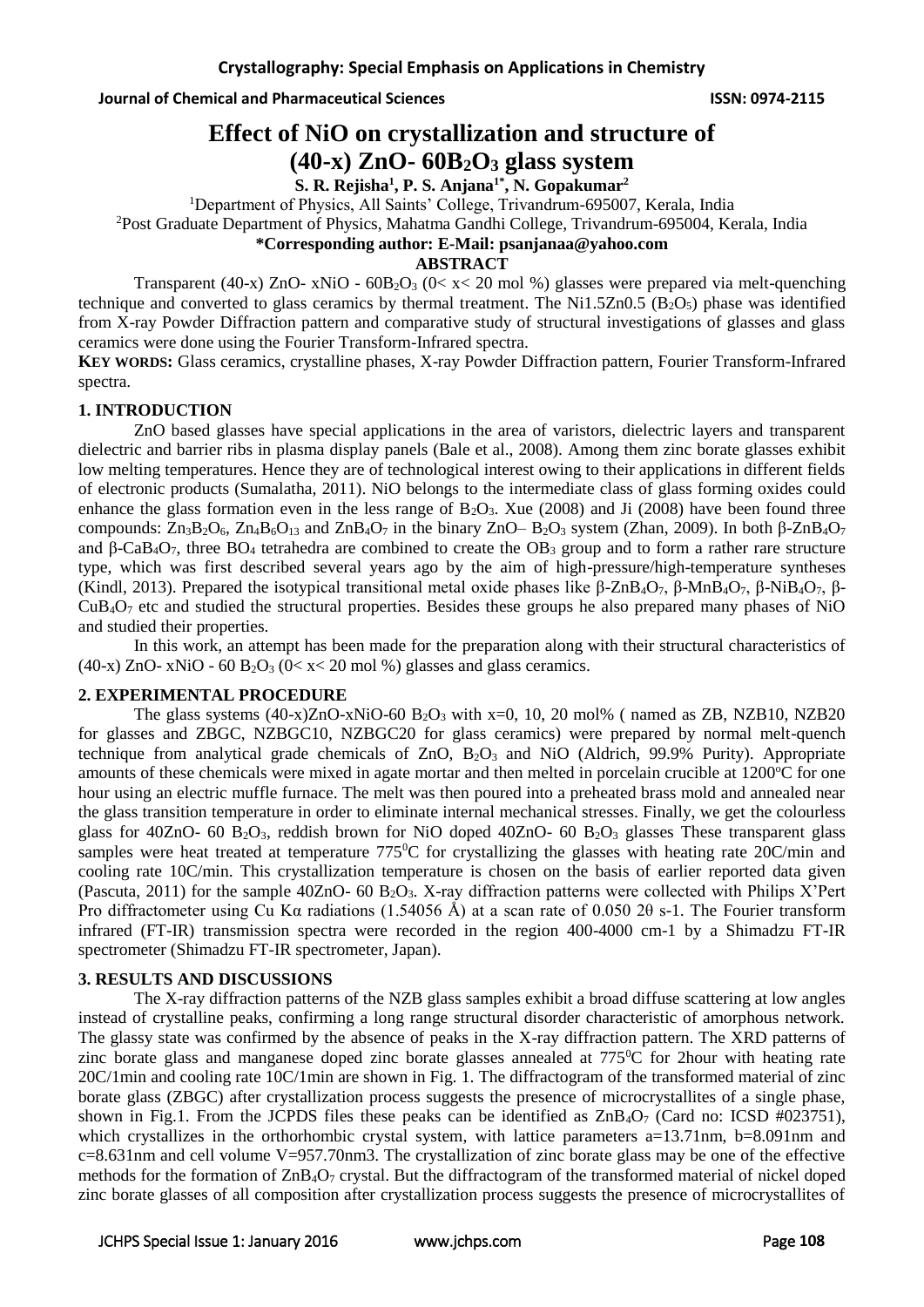**Journal of Chemical and Pharmaceutical Sciences ISSN: 0974-2115**

# **Effect of NiO on crystallization and structure of (40-x) ZnO- 60B2O<sup>3</sup> glass system**

**S. R. Rejisha<sup>1</sup> , P. S. Anjana1\*, N. Gopakumar<sup>2</sup>**

<sup>1</sup>Department of Physics, All Saints' College, Trivandrum-695007, Kerala, India

<sup>2</sup>Post Graduate Department of Physics, Mahatma Gandhi College, Trivandrum-695004, Kerala, India

# **\*Corresponding author: E-Mail: psanjanaa@yahoo.com**

### **ABSTRACT**

Transparent (40-x) ZnO- xNiO -  $60B_2O_3$  ( $0 < x < 20$  mol %) glasses were prepared via melt-quenching technique and converted to glass ceramics by thermal treatment. The Ni1.5Zn0.5 ( $B_2O_5$ ) phase was identified from X-ray Powder Diffraction pattern and comparative study of structural investigations of glasses and glass ceramics were done using the Fourier Transform-Infrared spectra.

**KEY WORDS:** Glass ceramics, crystalline phases, X-ray Powder Diffraction pattern, Fourier Transform-Infrared spectra.

# **1. INTRODUCTION**

ZnO based glasses have special applications in the area of varistors, dielectric layers and transparent dielectric and barrier ribs in plasma display panels (Bale et al., 2008). Among them zinc borate glasses exhibit low melting temperatures. Hence they are of technological interest owing to their applications in different fields of electronic products (Sumalatha, 2011). NiO belongs to the intermediate class of glass forming oxides could enhance the glass formation even in the less range of  $B_2O_3$ . Xue (2008) and Ji (2008) have been found three compounds:  $Zn_3B_2O_6$ ,  $Zn_4B_6O_{13}$  and  $ZnB_4O_7$  in the binary  $ZnO-B_2O_3$  system (Zhan, 2009). In both  $\beta$ - $ZnBaO_7$ and β-CaB<sub>4</sub>O<sub>7</sub>, three BO<sub>4</sub> tetrahedra are combined to create the OB<sub>3</sub> group and to form a rather rare structure type, which was first described several years ago by the aim of high-pressure/high-temperature syntheses (Kindl, 2013). Prepared the isotypical transitional metal oxide phases like β-ZnB4O7, β-MnB4O7, β-NiB4O7, β-CuB4O<sup>7</sup> etc and studied the structural properties. Besides these groups he also prepared many phases of NiO and studied their properties.

In this work, an attempt has been made for the preparation along with their structural characteristics of (40-x) ZnO- xNiO - 60  $B_2O_3$  (0< x < 20 mol %) glasses and glass ceramics.

### **2. EXPERIMENTAL PROCEDURE**

The glass systems  $(40-x)ZnO-xNiO-60 B<sub>2</sub>O<sub>3</sub>$  with x=0, 10, 20 mol% ( named as ZB, NZB10, NZB20 for glasses and ZBGC, NZBGC10, NZBGC20 for glass ceramics) were prepared by normal melt-quench technique from analytical grade chemicals of  $ZnO$ ,  $B_2O_3$  and NiO (Aldrich, 99.9% Purity). Appropriate amounts of these chemicals were mixed in agate mortar and then melted in porcelain crucible at 1200<sup>o</sup>C for one hour using an electric muffle furnace. The melt was then poured into a preheated brass mold and annealed near the glass transition temperature in order to eliminate internal mechanical stresses. Finally, we get the colourless glass for 40ZnO- 60  $B_2O_3$ , reddish brown for NiO doped 40ZnO- 60  $B_2O_3$  glasses These transparent glass samples were heat treated at temperature 775<sup>o</sup>C for crystallizing the glasses with heating rate 20C/min and cooling rate 10C/min. This crystallization temperature is chosen on the basis of earlier reported data given (Pascuta, 2011) for the sample 40ZnO- 60  $B_2O_3$ . X-ray diffraction patterns were collected with Philips X'Pert Pro diffractometer using Cu Kα radiations (1.54056 Å) at a scan rate of 0.050 2θ s-1. The Fourier transform infrared (FT-IR) transmission spectra were recorded in the region 400-4000 cm-1 by a Shimadzu FT-IR spectrometer (Shimadzu FT-IR spectrometer, Japan).

### **3. RESULTS AND DISCUSSIONS**

The X-ray diffraction patterns of the NZB glass samples exhibit a broad diffuse scattering at low angles instead of crystalline peaks, confirming a long range structural disorder characteristic of amorphous network. The glassy state was confirmed by the absence of peaks in the X-ray diffraction pattern. The XRD patterns of zinc borate glass and manganese doped zinc borate glasses annealed at 775<sup>o</sup>C for 2hour with heating rate 20C/1min and cooling rate 10C/1min are shown in Fig. 1. The diffractogram of the transformed material of zinc borate glass (ZBGC) after crystallization process suggests the presence of microcrystallites of a single phase, shown in Fig.1. From the JCPDS files these peaks can be identified as  $\text{ZnB}_4\text{O}_7$  (Card no: ICSD #023751), which crystallizes in the orthorhombic crystal system, with lattice parameters  $a=13.71$ nm,  $b=8.091$ nm and c=8.631nm and cell volume V=957.70nm3. The crystallization of zinc borate glass may be one of the effective methods for the formation of ZnB4O<sup>7</sup> crystal. But the diffractogram of the transformed material of nickel doped zinc borate glasses of all composition after crystallization process suggests the presence of microcrystallites of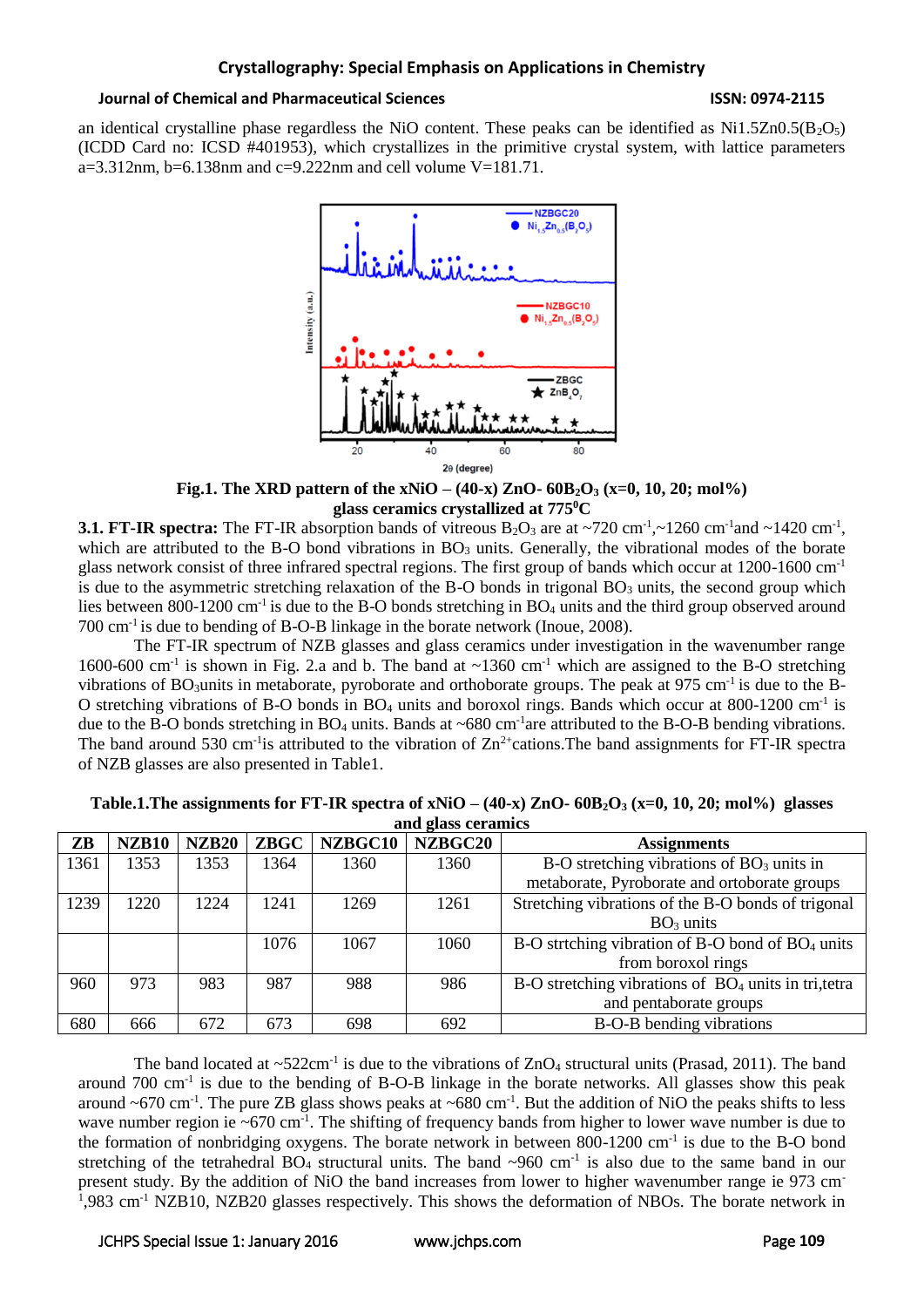## **Crystallography: Special Emphasis on Applications in Chemistry**

#### **Journal of Chemical and Pharmaceutical Sciences ISSN: 0974-2115**

an identical crystalline phase regardless the NiO content. These peaks can be identified as  $Ni1.5Zn0.5(B_2O<sub>5</sub>)$ (ICDD Card no: ICSD #401953), which crystallizes in the primitive crystal system, with lattice parameters a=3.312nm, b=6.138nm and c=9.222nm and cell volume  $V=181.71$ .



**Fig.1. The XRD pattern of the xNiO – (40-x) ZnO- 60B2O<sup>3</sup> (x=0, 10, 20; mol%) glass ceramics crystallized at 775<sup>0</sup>C**

**3.1. FT-IR spectra:** The FT-IR absorption bands of vitreous  $B_2O_3$  are at  $\sim$ 720 cm<sup>-1</sup>, $\sim$ 1260 cm<sup>-1</sup> and  $\sim$ 1420 cm<sup>-1</sup>, which are attributed to the B-O bond vibrations in  $BO<sub>3</sub>$  units. Generally, the vibrational modes of the borate glass network consist of three infrared spectral regions. The first group of bands which occur at 1200-1600 cm-1 is due to the asymmetric stretching relaxation of the B-O bonds in trigonal  $BO_3$  units, the second group which lies between 800-1200 cm<sup>-1</sup> is due to the B-O bonds stretching in  $BO_4$  units and the third group observed around 700 cm-1 is due to bending of B-O-B linkage in the borate network (Inoue, 2008).

The FT-IR spectrum of NZB glasses and glass ceramics under investigation in the wavenumber range 1600-600 cm<sup>-1</sup> is shown in Fig. 2.a and b. The band at  $\sim$ 1360 cm<sup>-1</sup> which are assigned to the B-O stretching vibrations of BO<sub>3</sub>units in metaborate, pyroborate and orthoborate groups. The peak at 975 cm<sup>-1</sup> is due to the B-O stretching vibrations of B-O bonds in BO<sub>4</sub> units and boroxol rings. Bands which occur at 800-1200 cm<sup>-1</sup> is due to the B-O bonds stretching in BO<sub>4</sub> units. Bands at  $\sim 680 \text{ cm}^{-1}$  are attributed to the B-O-B bending vibrations. The band around 530 cm<sup>-1</sup> is attributed to the vibration of  $Zn<sup>2+</sup>$ cations. The band assignments for FT-IR spectra of NZB glasses are also presented in Table1.

| ZB   | <b>NZB10</b> | <b>NZB20</b> | <b>ZBGC</b> | NZBGC10 | NZBGC20 | <b>Assignments</b>                                           |
|------|--------------|--------------|-------------|---------|---------|--------------------------------------------------------------|
| 1361 | 1353         | 1353         | 1364        | 1360    | 1360    | $B-O$ stretching vibrations of $BO3$ units in                |
|      |              |              |             |         |         | metaborate, Pyroborate and ortoborate groups                 |
| 1239 | 1220         | 1224         | 1241        | 1269    | 1261    | Stretching vibrations of the B-O bonds of trigonal           |
|      |              |              |             |         |         | $BO3$ units                                                  |
|      |              |              | 1076        | 1067    | 1060    | B-O strtching vibration of B-O bond of BO <sub>4</sub> units |
|      |              |              |             |         |         | from boroxol rings                                           |
| 960  | 973          | 983          | 987         | 988     | 986     | $B-O$ stretching vibrations of $BO4$ units in tri, tetra     |
|      |              |              |             |         |         | and pentaborate groups                                       |
| 680  | 666          | 672          | 673         | 698     | 692     | B-O-B bending vibrations                                     |

| Table.1. The assignments for FT-IR spectra of xNiO – $(40-x)$ ZnO- $60B_2O_3$ (x=0, 10, 20; mol%) glasses |  |
|-----------------------------------------------------------------------------------------------------------|--|
| and glass ceramics                                                                                        |  |

The band located at  $\sim$ 522cm<sup>-1</sup> is due to the vibrations of ZnO<sub>4</sub> structural units (Prasad, 2011). The band around 700 cm<sup>-1</sup> is due to the bending of B-O-B linkage in the borate networks. All glasses show this peak around  $\sim$  670 cm<sup>-1</sup>. The pure ZB glass shows peaks at  $\sim$  680 cm<sup>-1</sup>. But the addition of NiO the peaks shifts to less wave number region ie ~670 cm<sup>-1</sup>. The shifting of frequency bands from higher to lower wave number is due to the formation of nonbridging oxygens. The borate network in between  $800-1200$  cm<sup>-1</sup> is due to the B-O bond stretching of the tetrahedral BO<sub>4</sub> structural units. The band  $\sim$ 960 cm<sup>-1</sup> is also due to the same band in our present study. By the addition of NiO the band increases from lower to higher wavenumber range ie 973 cm-<sup>1</sup>,983 cm<sup>-1</sup> NZB10, NZB20 glasses respectively. This shows the deformation of NBOs. The borate network in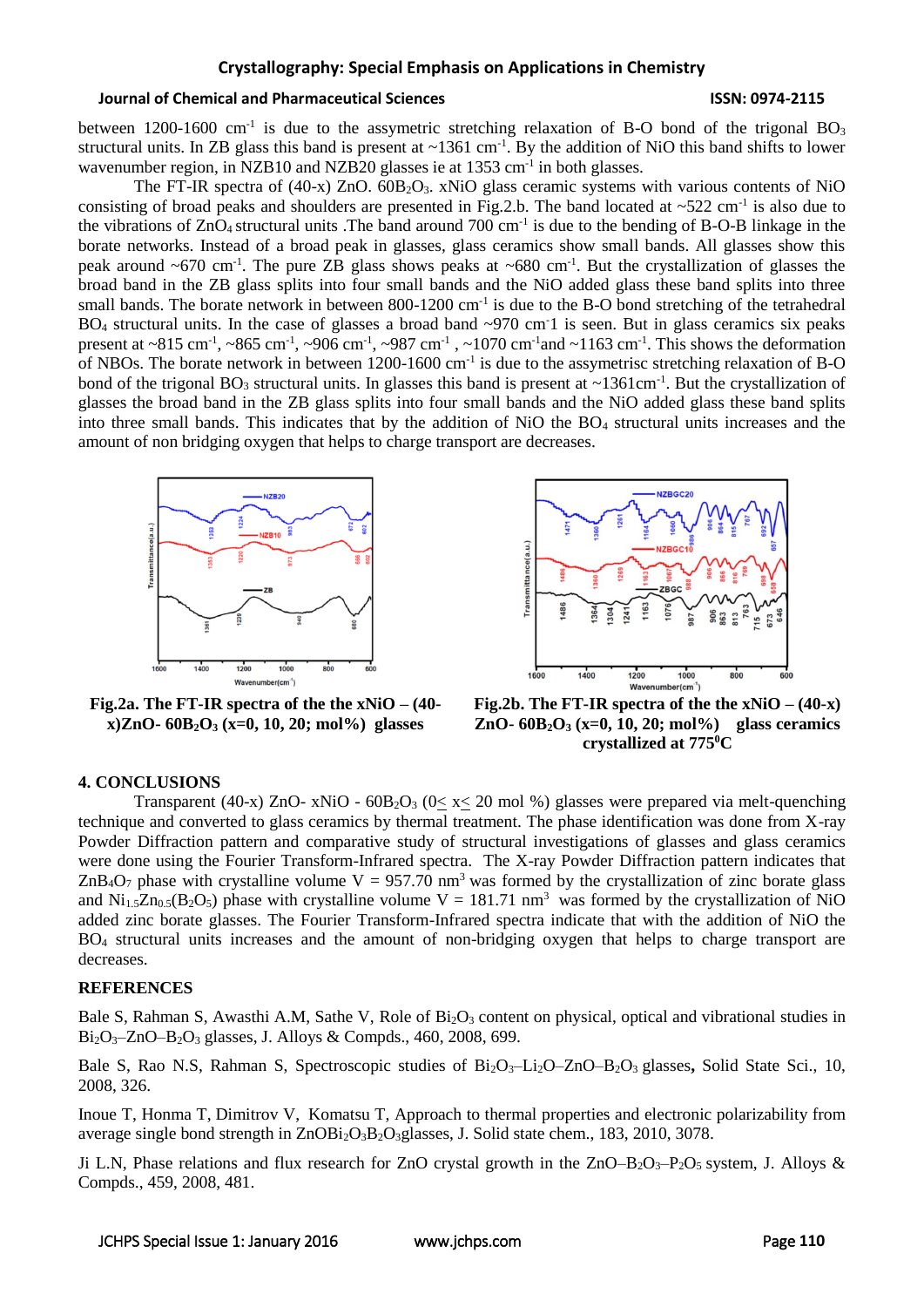### **Crystallography: Special Emphasis on Applications in Chemistry**

#### **Journal of Chemical and Pharmaceutical Sciences ISSN: 0974-2115**

between 1200-1600 cm<sup>-1</sup> is due to the assymetric stretching relaxation of B-O bond of the trigonal BO<sub>3</sub> structural units. In ZB glass this band is present at  $\sim$ 1361 cm<sup>-1</sup>. By the addition of NiO this band shifts to lower wavenumber region, in NZB10 and NZB20 glasses ie at 1353 cm<sup>-1</sup> in both glasses.

The FT-IR spectra of (40-x)  $ZnO$ ,  $60B_2O_3$ ,  $xNiO$  glass ceramic systems with various contents of NiO consisting of broad peaks and shoulders are presented in Fig.2.b. The band located at  $\sim$ 522 cm<sup>-1</sup> is also due to the vibrations of ZnO<sub>4</sub> structural units .The band around 700 cm<sup>-1</sup> is due to the bending of B-O-B linkage in the borate networks. Instead of a broad peak in glasses, glass ceramics show small bands. All glasses show this peak around  $\sim 670$  cm<sup>-1</sup>. The pure ZB glass shows peaks at  $\sim 680$  cm<sup>-1</sup>. But the crystallization of glasses the broad band in the ZB glass splits into four small bands and the NiO added glass these band splits into three small bands. The borate network in between 800-1200 cm<sup>-1</sup> is due to the B-O bond stretching of the tetrahedral BO<sub>4</sub> structural units. In the case of glasses a broad band  $\sim$ 970 cm<sup>-1</sup> is seen. But in glass ceramics six peaks present at ~815 cm<sup>-1</sup>, ~865 cm<sup>-1</sup>, ~906 cm<sup>-1</sup>, ~987 cm<sup>-1</sup>, ~1070 cm<sup>-1</sup> and ~1163 cm<sup>-1</sup>. This shows the deformation of NBOs. The borate network in between 1200-1600 cm<sup>-1</sup> is due to the assymetrisc stretching relaxation of B-O bond of the trigonal  $BO_3$  structural units. In glasses this band is present at ~1361cm<sup>-1</sup>. But the crystallization of glasses the broad band in the ZB glass splits into four small bands and the NiO added glass these band splits into three small bands. This indicates that by the addition of NiO the BO<sup>4</sup> structural units increases and the amount of non bridging oxygen that helps to charge transport are decreases.





**Fig.2a. The FT-IR spectra of the the xNiO – (40 x)ZnO- 60B2O<sup>3</sup> (x=0, 10, 20; mol%) glasses**

**Fig.2b. The FT-IR spectra of the the**  $xNiO - (40-x)$ **ZnO- 60B2O<sup>3</sup> (x=0, 10, 20; mol%) glass ceramics crystallized at 775<sup>0</sup>C**

#### **4. CONCLUSIONS**

Transparent (40-x) ZnO- xNiO -  $60B_2O_3$  ( $0 \le x \le 20$  mol %) glasses were prepared via melt-quenching technique and converted to glass ceramics by thermal treatment. The phase identification was done from X-ray Powder Diffraction pattern and comparative study of structural investigations of glasses and glass ceramics were done using the Fourier Transform-Infrared spectra. The X-ray Powder Diffraction pattern indicates that ZnB<sub>4</sub>O<sub>7</sub> phase with crystalline volume  $V = 957.70$  nm<sup>3</sup> was formed by the crystallization of zinc borate glass and  $Ni<sub>1.5</sub>Zn<sub>0.5</sub>(B<sub>2</sub>O<sub>5</sub>)$  phase with crystalline volume V = 181.71 nm<sup>3</sup> was formed by the crystallization of NiO added zinc borate glasses. The Fourier Transform-Infrared spectra indicate that with the addition of NiO the BO<sup>4</sup> structural units increases and the amount of non-bridging oxygen that helps to charge transport are decreases.

#### **REFERENCES**

Bale S, Rahman S, Awasthi A.M, Sathe V, Role of  $Bi<sub>2</sub>O<sub>3</sub>$  content on physical, optical and vibrational studies in Bi<sub>2</sub>O<sub>3</sub>[–ZnO–B](http://www.sciencedirect.com/science/article/pii/S092583880701465X)<sub>2</sub>O<sub>3</sub> glasses, J. Alloys & Compds., 460, 2008, 699.

Bale S, Rao N.S. Rahman S, [Spectroscopic studies of Bi](http://www.sciencedirect.com/science/article/pii/S1293255807002695)<sub>2</sub>O<sub>3</sub>–Li<sub>2</sub>O–ZnO–B<sub>2</sub>O<sub>3</sub> glasses, Solid State Sci., 10, 2008, 326.

[Inoue](http://yadda.icm.edu.pl/yadda/contributor/9b7be38a78a19f6bcb45594a4f5f356b) T, [Honma](http://yadda.icm.edu.pl/yadda/contributor/ed9790384ba6cc9e1876f14758a40bd6) T, [Dimitrov](http://yadda.icm.edu.pl/yadda/contributor/a24d01da2c4a7beb220261a58854ffaa) V, [Komatsu](http://yadda.icm.edu.pl/yadda/contributor/0109d9639d575c2eb420f9797c700b9f) T, [Approach to thermal properties and electronic polarizability from](http://www.sciencedirect.com/science/article/pii/S0022459610004846)  average single bond strength in  $ZnOBi<sub>2</sub>O<sub>3</sub>B<sub>2</sub>O<sub>3</sub>$ glasses, J. Solid state chem., 183, 2010, 3078.

Ji L.N, [Phase relations and flux research for ZnO crystal growth in the ZnO–B](http://www.sciencedirect.com/science/article/pii/S0925838807011632)<sub>2</sub>O<sub>3</sub>–P<sub>2</sub>O<sub>5</sub> system, J. Alloys & Compds., 459, 2008, 481.